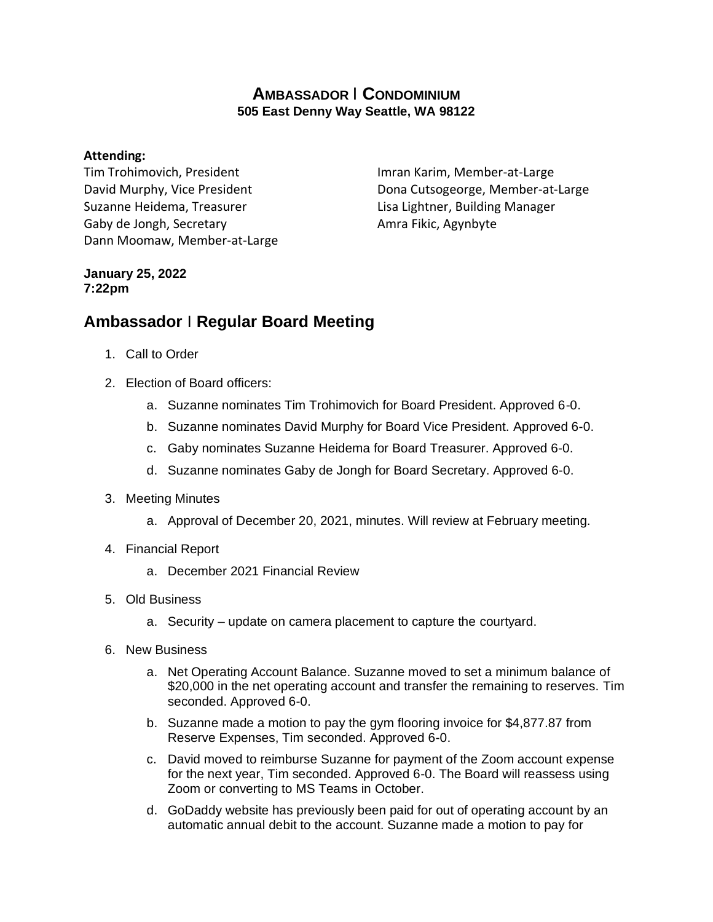## **AMBASSADOR** I **CONDOMINIUM 505 East Denny Way Seattle, WA 98122**

## **Attending:**

Tim Trohimovich, President David Murphy, Vice President Suzanne Heidema, Treasurer Gaby de Jongh, Secretary Dann Moomaw, Member-at-Large

Imran Karim, Member-at-Large Dona Cutsogeorge, Member-at-Large Lisa Lightner, Building Manager Amra Fikic, Agynbyte

## **January 25, 2022 7:22pm**

## **Ambassador** I **Regular Board Meeting**

- 1. Call to Order
- 2. Election of Board officers:
	- a. Suzanne nominates Tim Trohimovich for Board President. Approved 6-0.
	- b. Suzanne nominates David Murphy for Board Vice President. Approved 6-0.
	- c. Gaby nominates Suzanne Heidema for Board Treasurer. Approved 6-0.
	- d. Suzanne nominates Gaby de Jongh for Board Secretary. Approved 6-0.
- 3. Meeting Minutes
	- a. Approval of December 20, 2021, minutes. Will review at February meeting.
- 4. Financial Report
	- a. December 2021 Financial Review
- 5. Old Business
	- a. Security update on camera placement to capture the courtyard.
- 6. New Business
	- a. Net Operating Account Balance. Suzanne moved to set a minimum balance of \$20,000 in the net operating account and transfer the remaining to reserves. Tim seconded. Approved 6-0.
	- b. Suzanne made a motion to pay the gym flooring invoice for \$4,877.87 from Reserve Expenses, Tim seconded. Approved 6-0.
	- c. David moved to reimburse Suzanne for payment of the Zoom account expense for the next year, Tim seconded. Approved 6-0. The Board will reassess using Zoom or converting to MS Teams in October.
	- d. GoDaddy website has previously been paid for out of operating account by an automatic annual debit to the account. Suzanne made a motion to pay for